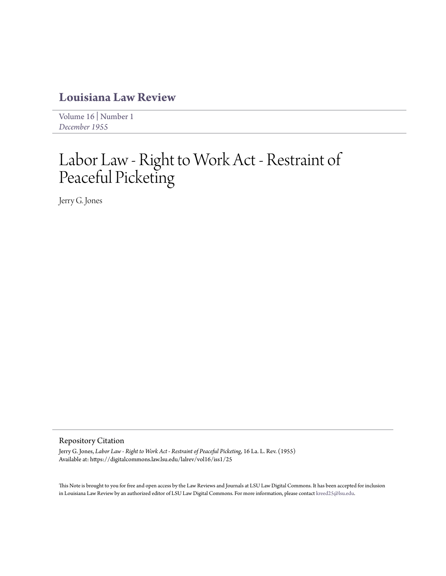## **[Louisiana Law Review](https://digitalcommons.law.lsu.edu/lalrev)**

[Volume 16](https://digitalcommons.law.lsu.edu/lalrev/vol16) | [Number 1](https://digitalcommons.law.lsu.edu/lalrev/vol16/iss1) *[December 1955](https://digitalcommons.law.lsu.edu/lalrev/vol16/iss1)*

## Labor Law - Right to Work Act - Restraint of Peaceful Picketing

Jerry G. Jones

## Repository Citation

Jerry G. Jones, *Labor Law - Right to Work Act - Restraint of Peaceful Picketing*, 16 La. L. Rev. (1955) Available at: https://digitalcommons.law.lsu.edu/lalrev/vol16/iss1/25

This Note is brought to you for free and open access by the Law Reviews and Journals at LSU Law Digital Commons. It has been accepted for inclusion in Louisiana Law Review by an authorized editor of LSU Law Digital Commons. For more information, please contact [kreed25@lsu.edu](mailto:kreed25@lsu.edu).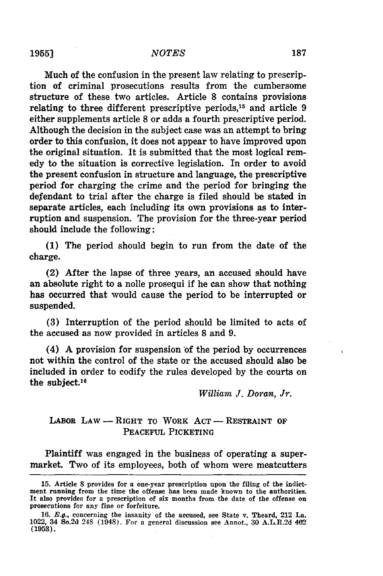Much of the confusion in the present law relating to prescription of criminal prosecutions results from the cumbersome structure of these two articles. Article **8** contains provisions relating to three different prescriptive periods,<sup>15</sup> and article 9 either supplements article 8 or adds a fourth prescriptive period. Although the decision in the subject case was an attempt to bring order to this confusion, it does not appear to have improved upon the original situation. It is submitted that the most logical remedy to the situation is corrective legislation. In order to avoid the present confusion in structure and language, the prescriptive period for charging the crime and the period for bringing the defendant to trial after the charge is filed should be stated in separate articles, each including its own provisions as to interruption and suspension. The provision for the three-year period should include the following:

**(1)** The period should begin to run from the date of the charge.

(2) After the lapse of three years, an accused should have an absolute right to a nolle prosequi if he can show that nothing has occurred that would cause the period to be interrupted or suspended.

(3) Interruption of the period should be limited to acts of the accused as now provided in articles **8** and 9.

 $(4)$  A provision for suspension of the period by occurrences not within the control of the state or the accused should also be included in order to codify the rules developed by the courts on the subject.<sup>16</sup>

*William J. Doran, Jr.*

## LABOR LAW - RIGHT TO WORK ACT - RESTRAINT OF **PEACEFUL** PICKETING

Plaintiff was engaged in the business of operating a supermarket. Two of its employees, both of whom were meatcutters

<sup>15.</sup> Article **8** provides for a one-year prescription upon the filing of the indictment running from the time the offense has been made known to the authorities. It also provides for a prescription of six months from the date of the offense **on** prosecutions for any fine or forfeiture.

<sup>16.</sup> E.g., concerning the insanity of the accused, see State v. Theard, 212 La. 1022, 34 So.2d 248 (1948). For a general discussion see Annot., 30 A.L.R.2d 462 **(1953).**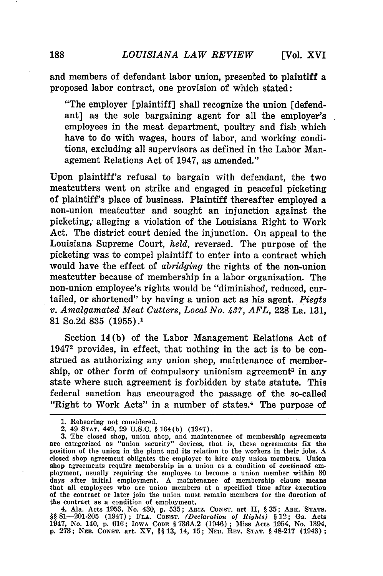and members of defendant labor union, presented to plaintiff a proposed labor contract, one provision of which stated:

"The employer [plaintiff] shall recognize the union [defendant] as the sole bargaining agent for all the employer's employees in the meat department, poultry and fish which have to do with wages, hours of labor, and working conditions, excluding all supervisors as defined in the Labor Management Relations Act of 1947, as amended."

Upon plaintiff's refusal to bargain with defendant, the two meatcutters went on strike and engaged in peaceful picketing of plaintiff's place of business. Plaintiff thereafter employed a non-union meatcutter and sought an injunction against the picketing, alleging a violation of the Louisiana Right to Work Act. The district court denied the injunction. On appeal to the Louisiana Supreme Court, *held,* reversed. The purpose of the picketing was to compel plaintiff to enter into a contract which would have the effect of *abridging* the rights of the non-union meatcutter because of membership in a labor organization. The non-union employee's rights would be "diminished, reduced, curtailed, or shortened" **by** having a union act as his agent. *Piegts v. Amalgamated Meat Cutters, Local No. 437, AFL,* **228** La. 131, 81 So.2d 835 (1955).1

Section 14(b) of the Labor Management Relations Act of 19472 provides, in effect, that nothing in the act is to be construed as authorizing any union shop, maintenance of membership, or other form of compulsory unionism agreement<sup>3</sup> in any state where such agreement is forbidden by state statute. This federal sanction has encouraged the passage of the so-called "Right to Work Acts" in a number of states. $4$  The purpose of

4. Ala. Acts 1953, No. 430, p. 535; ARiz. **CONST.** art II, § 35; ARK. STATS. *§§* 81-201-205 (1947) **; FLA. CONST.** *(Declaration of Rights) §* 12; Ga. Acts 1947, No. 140, p. 616; **IOWA CODE** § 736A.2 (1946) ; Miss Acts 1954, No. 1394, p. 273; **NEB.** CONST. art. XV, §§ 13, 14, 15; **NEn.** REV. **STAT.** § 48-217 (1943);

<sup>1.</sup> Rehearing not considered.

<sup>2. 49</sup> **STAT.** 449, 29 U.S.C. § 164(b) (1947).

<sup>3.</sup> The closed shop, union shop, and maintenance of membership agreements are categorized as "union security" devices, that is, these agreements fix the position of the union in the plant and its relation to the workers in their jobs. A closed shop agreement obligates the employer to hire only union members. Union shop agreements require membership in a union as a condition of *continued* employment, usually requiring the employee to become a union member within 30 days after initial employment. A maintenance of membership clause means that all employees who are union members at a specified time after execution of the contract or later join the union must remain members for the duration of the contract as a condition of employment.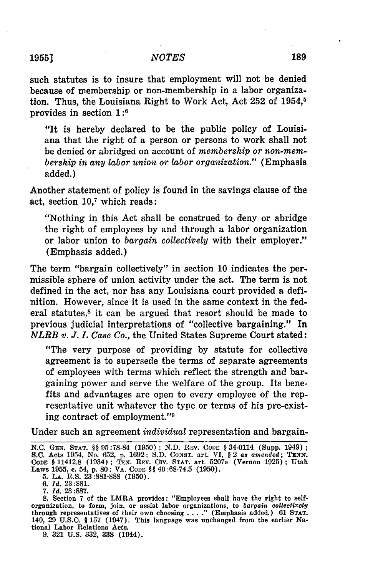such statutes is to insure that employment will not be denied because of membership or non-membership in a labor organization. Thus, the Louisiana Right to Work Act, Act **252** of 1954, <sup>5</sup> provides in section **1:6**

"It is hereby declared to be the public policy of Louisiana that the right of a person or persons to work shall not be denied or abridged on account of *membership or non-membership in any labor union or labor organization."* (Emphasis added.)

Another statement of policy is found in the savings clause of the act, section  $10<sup>7</sup>$  which reads:

"Nothing in this Act shall be construed to deny or abridge the right of employees by and through a labor organization or labor union to *bargain collectively* with their employer." (Emphasis added.)

The term "bargain collectively" in section 10 indicates the permissible sphere of union activity under the act. The term is not defined in the act, nor has any Louisiana court provided a definition. However, since it is used in the same context in the federal statutes,<sup>8</sup> it can be argued that resort should be made to previous judicial interpretations of "collective bargaining." In *NLRB v. J. I. Case Co.,* the United States Supreme Court stated:

"The very purpose of providing by statute for collective agreement is to supersede the terms of separate agreements of employees with terms which reflect the strength and bargaining power and serve the welfare of the group. Its benefits and advantages are open to every employee of the representative unit whatever the type or terms of his pre-existing contract of employment."<sup>9</sup>

Under such an agreement *individual* representation and bargain-

**5. LA.** R.S. 23:881-888 (1950).

9. 321 U.S. 332, 338 (1944).

N.C. **GEN. STAT.** §§95:78-84 **(1950) ; N.D.** REV. **CODE** § 34-0114 (Supp. 1949); S.C. Acts 1954, No. 652, p. 1692; S.D. Const. art. VI, § 2 as amended; TENN.<br>CODE § 11412.8 (1934); TEX. REV. CIV. STAT. art. 5207a (Vernon 1925); Utal<br>Laws 1955, c. 54, p. 80; VA. CoDE §§ 40:68-74.5 (1950).

<sup>6.</sup> *Id.* 23:881.

<sup>7.</sup> *Id.* 23:887.

**<sup>8.</sup>** Section 7 of the LMRA provides: "Employees shall have the right to selforganization, to form, join, or assist labor organizations, to *bargain collectively* through representatives of their own choosing ... **."** (Emphasis added.) 61 STAT. 140, 29 U.S.C. § 157 (1947). This language was unchanged from the earlier National Labor Relations Acts.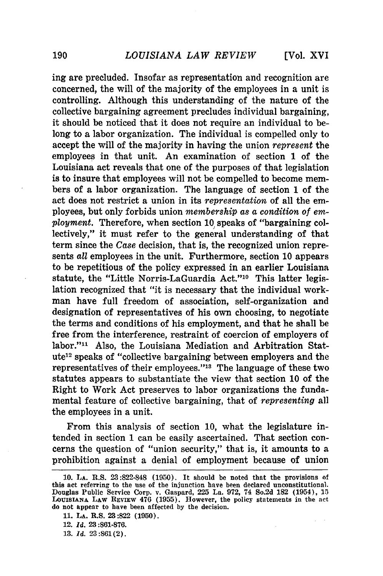ing are precluded. Insofar as representation and recognition are concerned, the will of the majority of the employees in a unit is controlling. Although this understanding of the nature of the collective bargaining agreement precludes individual bargaining, it should be noticed that it does not require an individual to belong to a labor organization. The individual is compelled only to accept the will of the majority in having the union *represent* the employees in that unit. An examination of section **1** of the Louisiana act reveals that one of the purposes of that legislation is to insure that employees will not be compelled to become members of a labor organization. The language of section **1** of the act does not restrict a union in its *representation* of all the employees, but only forbids union *membership as a condition of employment.* Therefore, when section **10)** speaks of "bargaining collectively," it must refer to the general understanding of that term since the *Case* decision, that is, the recognized union represents *all* employees in the unit. Furthermore, section 10 appears to be repetitious of the policy expressed in an earlier Louisiana statute, the "Little Norris-LaGuardia Act."<sup>10</sup> This latter legislation recognized that "it is necessary that the individual workman have full freedom of association, self-organization and designation of representatives of his own choosing, to negotiate the terms and conditions of his employment, and that he shall be free from the interference, restraint of coercion of employers of labor."<sup>11</sup> Also, the Louisiana Mediation and Arbitration Statute12 speaks of "collective bargaining between employers and the representatives of their employees."<sup>13</sup> The language of these two statutes appears to substantiate the view that section 10 of the Right to Work Act preserves to labor organizations the fundamental feature of collective bargaining, that of *representing* all the employees in a unit.

From this analysis of section 10, what the legislature intended in section 1 can be easily ascertained. That section concerns the question of "union security," that is, it amounts to a prohibition against a denial of employment because of union

**11. LA.** R.S. **23:822 (1950).**

**<sup>10.</sup> LA.** R.S. **23:822-848 (1950).** It should be noted that the provisions **of** this act referring to the use of the injunction have been declared unconstitutional. Douglas Public Service Corp. v. Gaspard, **225** La. **972,** 74 So.2d **182** (1954), **15 LOUISIANA** LAW REVIEw 476 **(1955).** However, the policy statements in the **act** do not appear to have been affected **by** the decision.

<sup>12.</sup> *Id.* **23:861-876.**

**<sup>13.</sup>** *Id.* **23:861(2).**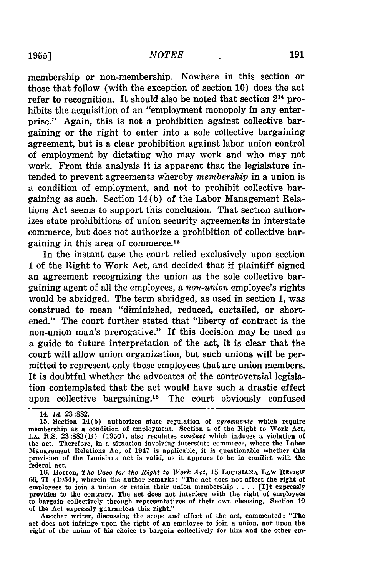membership or non-membership. Nowhere in this section or those that follow (with the exception of section **10)** does the act refer to recognition. It should also be noted that section **214** prohibits the acquisition of an "employment monopoly in any enterprise." Again, this is not a prohibition against collective bargaining or the right to enter into a sole collective bargaining agreement, but is a clear prohibition against labor union control of employment **by** dictating who may work and who may not work. From this analysis it is apparent that the legislature intended to prevent agreements whereby *membership* in a union is a condition of employment, and not to prohibit collective bargaining as such. Section 14 **(b)** of the Labor Management Relations Act seems to support this conclusion. That section authorizes state prohibitions of union security agreements in interstate commerce, but does not authorize a prohibition of collective bargaining in this area of commerce.'

In the instant case the court relied exclusively upon section **I** of the Right to Work Act, and decided that if plaintiff signed an agreement recognizing the union as the sole collective bargaining agent of all the employees, a *non-union* employee's rights would be abridged. The term abridged, as used in section **1,** was construed to mean "diminished, reduced, curtailed, or shortened." The court further stated that "liberty of contract is the non-union man's prerogative." If this decision may be used as a guide to future interpretation of the act, it is clear that the court will allow union organization, but such unions will be permitted to represent only those employees that are union members. It is doubtful whether the advocates of the controversial legislation contemplated that the act would have such a drastic effect upon collective bargaining.<sup>16</sup> The court obviously confused

.14. *Id.* **23:882.**

**16.** Borron, *The Case for the Right to Work Act,* **15** LoUISIANA LAW REVIEW **66, 71** (1954), wherein the author remarks: "The act does not affect the right of employees to join a union or retain their union membership .**. .** . **[I]t** expressly provides to the contrary. The act does not interfere with the right of employees to bargain collectively through representatives of their own choosing. Section **10 of** the Act expressly guarantees this right."

Another writer, discussing the scope and effect of the act, commented: "The act does not infringe upon the right of an employee to join a union, nor upon the right of the union of his choice to bargain collectively for him and the other em-

**<sup>15.</sup>** Section 14(b) authorizes state regulation of *agreements* which require membership as a condition of employment. Section 4 of the Right to Work Act, LA.R.S. **23:883(B)** (1950), also regulates *conduct* which induces a violation of the act. Therefore, in a situation involving interstate commerce, where the Labor Management Relations Act of 1947 is applicable, it is questionable whether this provision of the Louisiana act is valid, as it appears to be in conflict with the federal act.